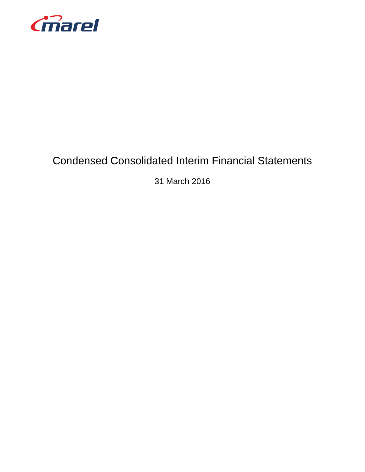

# Condensed Consolidated Interim Financial Statements

31 March 2016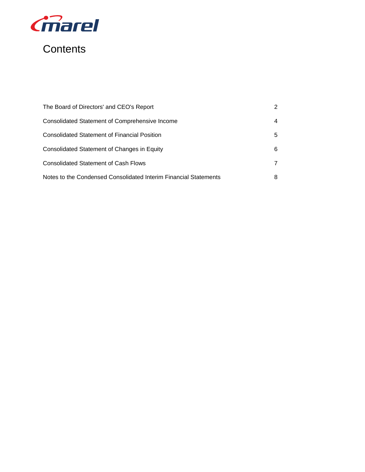

# **Contents**

| The Board of Directors' and CEO's Report                         | 2 |
|------------------------------------------------------------------|---|
| <b>Consolidated Statement of Comprehensive Income</b>            | 4 |
| <b>Consolidated Statement of Financial Position</b>              | 5 |
| Consolidated Statement of Changes in Equity                      | 6 |
| <b>Consolidated Statement of Cash Flows</b>                      | 7 |
| Notes to the Condensed Consolidated Interim Financial Statements | 8 |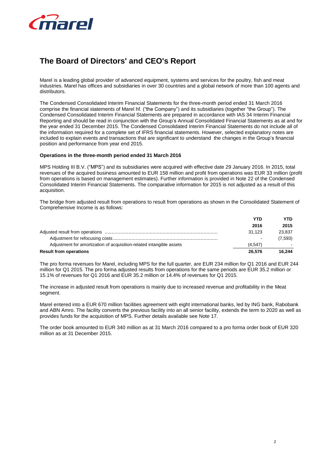

## **The Board of Directors' and CEO's Report**

Marel is a leading global provider of advanced equipment, systems and services for the poultry, fish and meat industries. Marel has offices and subsidiaries in over 30 countries and a global network of more than 100 agents and distributors.

The Condensed Consolidated Interim Financial Statements for the three-month period ended 31 March 2016 comprise the financial statements of Marel hf. ("the Company") and its subsidiaries (together "the Group"). The Condensed Consolidated Interim Financial Statements are prepared in accordance with IAS 34 Interim Financial Reporting and should be read in conjunction with the Group's Annual Consolidated Financial Statements as at and for the year ended 31 December 2015. The Condensed Consolidated Interim Financial Statements do not include all of the information required for a complete set of IFRS financial statements. However, selected explanatory notes are included to explain events and transactions that are significant to understand the changes in the Group's financial position and performance from year end 2015.

### **Operations in the three-month period ended 31 March 2016**

MPS Holding III B.V. ("MPS") and its subsidiaries were acquired with effective date 29 January 2016. In 2015, total revenues of the acquired business amounted to EUR 158 million and profit from operations was EUR 33 million (profit from operations is based on management estimates). Further information is provided in Note 22 of the Condensed Consolidated Interim Financial Statements. The comparative information for 2015 is not adjusted as a result of this acquisition.

The bridge from adjusted result from operations to result from operations as shown in the Consolidated Statement of Comprehensive Income is as follows:

|                                                                      | YTD     | YTD.                     |
|----------------------------------------------------------------------|---------|--------------------------|
|                                                                      | 2016    | 2015                     |
|                                                                      | 31.123  | 23,837                   |
|                                                                      |         | (7,593)                  |
| Adjustment for amortization of acquisition-related intangible assets | (4.547) | $\overline{\phantom{0}}$ |
| <b>Result from operations</b>                                        | 26.576  | 16.244                   |

The pro forma revenues for Marel, including MPS for the full quarter, are EUR 234 million for Q1 2016 and EUR 244 million for Q1 2015. The pro forma adjusted results from operations for the same periods are EUR 35.2 million or 15.1% of revenues for Q1 2016 and EUR 35.2 million or 14.4% of revenues for Q1 2015.

The increase in adjusted result from operations is mainly due to increased revenue and profitability in the Meat segment.

Marel entered into a EUR 670 million facilities agreement with eight international banks, led by ING bank, Rabobank and ABN Amro. The facility converts the previous facility into an all senior facility, extends the term to 2020 as well as provides funds for the acquisition of MPS. Further details available see Note 17.

The order book amounted to EUR 340 million as at 31 March 2016 compared to a pro forma order book of EUR 320 million as at 31 December 2015.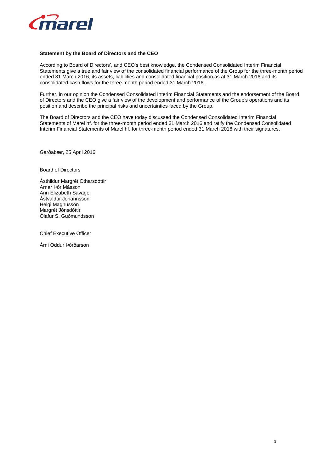

### **Statement by the Board of Directors and the CEO**

According to Board of Directors', and CEO's best knowledge, the Condensed Consolidated Interim Financial Statements give a true and fair view of the consolidated financial performance of the Group for the three-month period ended 31 March 2016, its assets, liabilities and consolidated financial position as at 31 March 2016 and its consolidated cash flows for the three-month period ended 31 March 2016.

Further, in our opinion the Condensed Consolidated Interim Financial Statements and the endorsement of the Board of Directors and the CEO give a fair view of the development and performance of the Group's operations and its position and describe the principal risks and uncertainties faced by the Group.

The Board of Directors and the CEO have today discussed the Condensed Consolidated Interim Financial Statements of Marel hf. for the three-month period ended 31 March 2016 and ratify the Condensed Consolidated Interim Financial Statements of Marel hf. for three-month period ended 31 March 2016 with their signatures.

Garðabær, 25 April 2016

Board of Directors

Ásthildur Margrét Otharsdóttir Arnar Þór Másson Ann Elizabeth Savage Ástvaldur Jóhannsson Helgi Magnússon Margrét Jónsdóttir Ólafur S. Guðmundsson

Chief Executive Officer

Árni Oddur Þórðarson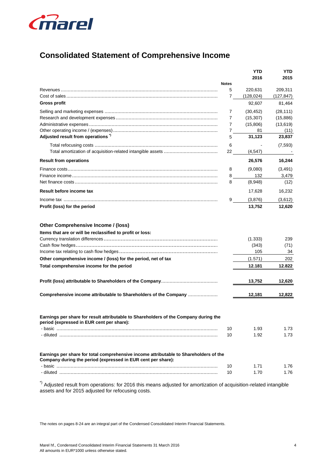

## **Consolidated Statement of Comprehensive Income**

|                                                                                                                                                       |              | YTD                                          | YTD                                |
|-------------------------------------------------------------------------------------------------------------------------------------------------------|--------------|----------------------------------------------|------------------------------------|
|                                                                                                                                                       |              | 2016                                         | 2015                               |
|                                                                                                                                                       | <b>Notes</b> |                                              |                                    |
|                                                                                                                                                       | 5            | 220,631                                      | 209,311                            |
|                                                                                                                                                       | 7            | (128, 024)                                   | (127, 847)                         |
| <b>Gross profit</b>                                                                                                                                   |              | 92,607                                       | 81,464                             |
|                                                                                                                                                       | 7            | (30, 452)                                    | (28, 111)                          |
|                                                                                                                                                       | 7            | (15, 307)                                    | (15,886)                           |
|                                                                                                                                                       | 7            | (15,806)                                     | (13, 619)                          |
|                                                                                                                                                       | 7            | 81                                           | (11)                               |
| Adjusted result from operations <sup>"</sup>                                                                                                          | 5            | 31,123                                       | 23,837                             |
|                                                                                                                                                       | 6            |                                              | (7, 593)                           |
|                                                                                                                                                       | 22           | (4, 547)                                     |                                    |
| <b>Result from operations</b>                                                                                                                         |              | 26,576                                       | 16,244                             |
|                                                                                                                                                       | 8            | (9,080)                                      | (3, 491)                           |
|                                                                                                                                                       | 8            | 132                                          | 3,479                              |
| Net finance costs …………………………………………………………………………………………                                                                                                  | 8            | (8,948)                                      | (12)                               |
| Result before income tax                                                                                                                              |              | 17,628                                       | 16,232                             |
|                                                                                                                                                       | 9            | (3,876)                                      | (3,612)                            |
| Profit (loss) for the period                                                                                                                          |              | 13,752                                       | 12,620                             |
| Other comprehensive income / (loss) for the period, net of tax<br>Total comprehensive income for the period                                           |              | (1.333)<br>(343)<br>105<br>(1.571)<br>12.181 | 239<br>(71)<br>34<br>202<br>12.822 |
|                                                                                                                                                       |              | 13,752                                       | 12,620                             |
| Comprehensive income attributable to Shareholders of the Company                                                                                      |              | 12,181                                       | 12,822                             |
| Earnings per share for result attributable to Shareholders of the Company during the<br>period (expressed in EUR cent per snare):                     | 10<br>10     | 1.93<br>1.92                                 | 1.73<br>1.73                       |
| Earnings per share for total comprehensive income attributable to Shareholders of the<br>Company during the period (expressed in EUR cent per share): | 10           | 1.71                                         | 1.76                               |
|                                                                                                                                                       | 10           | 1.70                                         | 1.76                               |
| result from executional fax 2040 this means adjusted for amentication                                                                                 |              |                                              |                                    |

Adjusted result from operations: for 2016 this means adjusted for amortization of acquisition-related intangible assets and for 2015 adjusted for refocusing costs.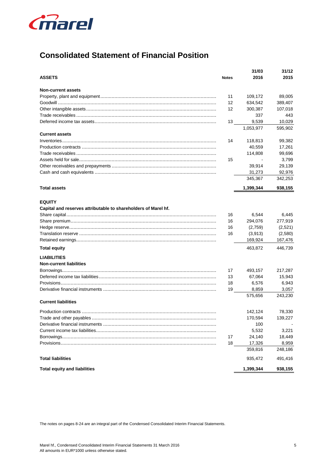

## **Consolidated Statement of Financial Position**

|                                                                                 |              | 31/03     | 31/12   |
|---------------------------------------------------------------------------------|--------------|-----------|---------|
| <b>ASSETS</b>                                                                   | <b>Notes</b> | 2016      | 2015    |
| <b>Non-current assets</b>                                                       |              |           |         |
|                                                                                 | 11           | 109,172   | 89,005  |
|                                                                                 | 12           | 634,542   | 389,407 |
|                                                                                 | 12           | 300,387   | 107,018 |
| Trade receivables ………………………………………………………………………………………                             |              | 337       | 443     |
|                                                                                 | 13           | 9,539     | 10,029  |
|                                                                                 |              | 1,053,977 | 595,902 |
| <b>Current assets</b>                                                           |              |           |         |
|                                                                                 | 14           | 118,813   | 99,382  |
|                                                                                 |              | 40,559    | 17,261  |
| Trade receivables ………………………………………………………………………………………                             |              | 114,808   | 99,696  |
|                                                                                 | 15           |           | 3,799   |
|                                                                                 |              | 39,914    | 29,139  |
|                                                                                 |              | 31,273    | 92,976  |
|                                                                                 |              | 345,367   | 342,253 |
| <b>Total assets</b>                                                             |              | 1,399,344 | 938,155 |
| <b>EQUITY</b><br>Capital and reserves attributable to shareholders of Marel hf. |              |           |         |
|                                                                                 | 16           | 6,544     | 6,445   |
|                                                                                 | 16           | 294,076   | 277,919 |
|                                                                                 | 16           | (2,759)   | (2,521) |
| Translation reserve ……………………………………………………………………………………                            | 16           | (3,913)   | (2,580) |
|                                                                                 |              | 169,924   | 167,476 |
| <b>Total equity</b>                                                             |              | 463,872   | 446,739 |
| <b>LIABILITIES</b>                                                              |              |           |         |
| <b>Non-current liabilities</b>                                                  |              |           |         |
|                                                                                 | 17           | 493,157   | 217,287 |
| Deferred income tax liabilities………………………………………………………………………                      | 13           | 67,064    | 15,943  |
|                                                                                 | 18           | 6,576     | 6,943   |
| Derivative financial instruments ………………………………………………………………………                    | 19           | 8,859     | 3,057   |
| <b>Current liabilities</b>                                                      |              | 575,656   | 243,230 |
|                                                                                 |              |           |         |
|                                                                                 |              | 142,124   | 78,330  |
| Trade and other payables …………………………………………………………………………                           |              | 170,594   | 139,227 |
|                                                                                 |              | 100       |         |
|                                                                                 |              | 5,532     | 3,221   |
|                                                                                 | 17           | 24,140    | 18,449  |
|                                                                                 | 18           | 17,326    | 8,959   |
|                                                                                 |              | 359,816   | 248,186 |
| <b>Total liabilities</b>                                                        |              | 935,472   | 491,416 |
| <b>Total equity and liabilities</b>                                             |              | 1,399,344 | 938,155 |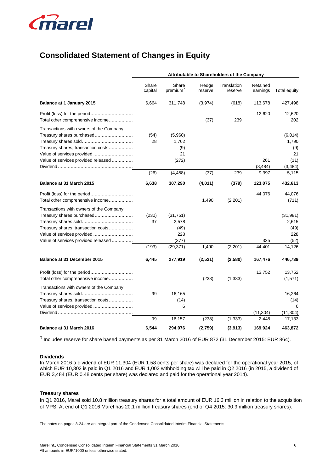

## **Consolidated Statement of Changes in Equity**

|                                                                                                                                                                                 |                      |                                                         |                  | Attributable to Shareholders of the Company |                      |                                                     |
|---------------------------------------------------------------------------------------------------------------------------------------------------------------------------------|----------------------|---------------------------------------------------------|------------------|---------------------------------------------|----------------------|-----------------------------------------------------|
|                                                                                                                                                                                 | Share<br>capital     | Share<br>premium                                        | Hedge<br>reserve | Translation<br>reserve                      | Retained<br>earnings | Total equity                                        |
| <b>Balance at 1 January 2015</b>                                                                                                                                                | 6,664                | 311,748                                                 | (3,974)          | (618)                                       | 113,678              | 427,498                                             |
| Total other comprehensive income                                                                                                                                                |                      |                                                         | (37)             | 239                                         | 12,620               | 12,620<br>202                                       |
| Transactions with owners of the Company<br>Treasury shares purchased<br>Treasury shares, transaction costs<br>Value of services provided<br>Value of services provided released | (54)<br>28           | (5,960)<br>1,762<br>(9)<br>21<br>(272)                  |                  |                                             | 261                  | (6,014)<br>1,790<br>(9)<br>21<br>(11)               |
|                                                                                                                                                                                 |                      |                                                         |                  |                                             | (3, 484)             | (3, 484)                                            |
|                                                                                                                                                                                 | (26)                 | (4, 458)                                                | (37)             | 239                                         | 9,397                | 5,115                                               |
| Balance at 31 March 2015                                                                                                                                                        | 6,638                | 307,290                                                 | (4,011)          | (379)                                       | 123,075              | 432,613                                             |
| Total other comprehensive income                                                                                                                                                |                      |                                                         | 1,490            | (2,201)                                     | 44,076               | 44,076<br>(711)                                     |
| Transactions with owners of the Company<br>Treasury shares purchased<br>Treasury shares, transaction costs<br>Value of services provided<br>Value of services provided released | (230)<br>37<br>(193) | (31, 751)<br>2,578<br>(49)<br>228<br>(377)<br>(29, 371) | 1,490            | (2,201)                                     | 325<br>44,401        | (31, 981)<br>2,615<br>(49)<br>228<br>(52)<br>14,126 |
| Balance at 31 December 2015                                                                                                                                                     | 6,445                | 277,919                                                 | (2,521)          | (2,580)                                     | 167,476              | 446,739                                             |
| Total other comprehensive income                                                                                                                                                |                      |                                                         | (238)            | (1, 333)                                    | 13,752               | 13,752<br>(1,571)                                   |
| Transactions with owners of the Company<br>Treasury shares, transaction costs                                                                                                   | 99                   | 16,165<br>(14)<br>6                                     |                  |                                             | (11, 304)            | 16,264<br>(14)<br>6<br>(11, 304)                    |
|                                                                                                                                                                                 | 99                   | 16,157                                                  | (238)            | (1, 333)                                    | 2,448                | 17,133                                              |
| <b>Balance at 31 March 2016</b>                                                                                                                                                 | 6,544                | 294,076                                                 | (2,759)          | (3,913)                                     | 169,924              | 463,872                                             |

\*) Includes reserve for share based payments as per 31 March 2016 of EUR 872 (31 December 2015: EUR 864).

### **Dividends**

In March 2016 a dividend of EUR 11,304 (EUR 1.58 cents per share) was declared for the operational year 2015, of which EUR 10,302 is paid in Q1 2016 and EUR 1,002 withholding tax will be paid in Q2 2016 (in 2015, a dividend of EUR 3,484 (EUR 0.48 cents per share) was declared and paid for the operational year 2014).

### **Treasury shares**

In Q1 2016, Marel sold 10.8 million treasury shares for a total amount of EUR 16.3 million in relation to the acquisition of MPS. At end of Q1 2016 Marel has 20.1 million treasury shares (end of Q4 2015: 30.9 million treasury shares).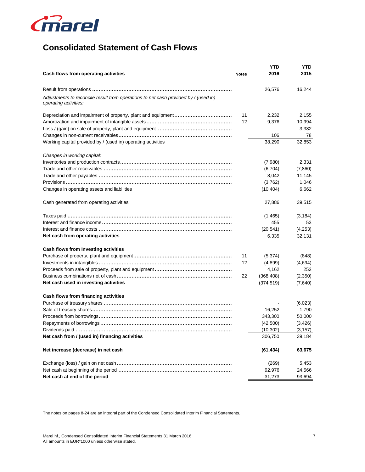

## **Consolidated Statement of Cash Flows**

|                                                                                                              |              | YTD        | YTD      |
|--------------------------------------------------------------------------------------------------------------|--------------|------------|----------|
| Cash flows from operating activities                                                                         | <b>Notes</b> | 2016       | 2015     |
|                                                                                                              |              | 26,576     | 16,244   |
| Adjustments to reconcile result from operations to net cash provided by / (used in)<br>operating activities: |              |            |          |
|                                                                                                              | 11           | 2,232      | 2,155    |
|                                                                                                              | 12           | 9,376      | 10,994   |
|                                                                                                              |              |            | 3,382    |
|                                                                                                              |              | 106        | 78       |
| Working capital provided by / (used in) operating activities                                                 |              | 38,290     | 32,853   |
| Changes in working capital:                                                                                  |              |            |          |
|                                                                                                              |              | (7,980)    | 2,331    |
|                                                                                                              |              | (6,704)    | (7,860)  |
|                                                                                                              |              | 8,042      | 11,145   |
|                                                                                                              |              | (3,762)    | 1,046    |
| Changes in operating assets and liabilities                                                                  |              | (10, 404)  | 6,662    |
| Cash generated from operating activities                                                                     |              | 27,886     | 39,515   |
|                                                                                                              |              | (1,465)    | (3, 184) |
|                                                                                                              |              | 455        | 53       |
|                                                                                                              |              | (20, 541)  | (4,253)  |
| Net cash from operating activities                                                                           |              | 6,335      | 32,131   |
| Cash flows from Investing activities                                                                         |              |            |          |
|                                                                                                              | 11           | (5, 374)   | (848)    |
|                                                                                                              | 12           | (4,899)    | (4,694)  |
|                                                                                                              |              | 4,162      | 252      |
|                                                                                                              | 22           | (368, 408) | (2,350)  |
| Net cash used in investing activities                                                                        |              | (374, 519) | (7,640)  |
| Cash flows from financing activities                                                                         |              |            |          |
|                                                                                                              |              |            | (6,023)  |
|                                                                                                              |              | 16,252     | 1,790    |
|                                                                                                              |              | 343,300    | 50,000   |
|                                                                                                              |              | (42,500)   | (3, 426) |
|                                                                                                              |              | (10, 302)  | (3, 157) |
| Net cash from / (used in) financing activities                                                               |              | 306,750    | 39,184   |
| Net increase (decrease) in net cash                                                                          |              | (61, 434)  | 63,675   |
|                                                                                                              |              | (269)      | 5,453    |
|                                                                                                              |              | 92,976     | 24,566   |
| Net cash at end of the period                                                                                |              | 31,273     | 93,694   |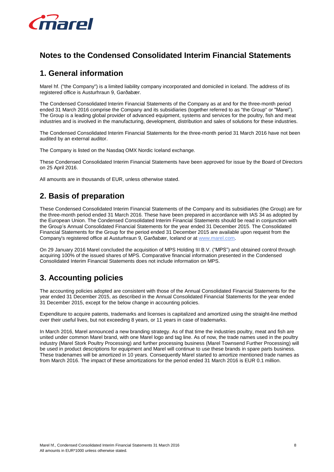

## **Notes to the Condensed Consolidated Interim Financial Statements**

## **1. General information**

Marel hf. ("the Company") is a limited liability company incorporated and domiciled in Iceland. The address of its registered office is Austurhraun 9, Garðabær.

The Condensed Consolidated Interim Financial Statements of the Company as at and for the three-month period ended 31 March 2016 comprise the Company and its subsidiaries (together referred to as "the Group" or "Marel"). The Group is a leading global provider of advanced equipment, systems and services for the poultry, fish and meat industries and is involved in the manufacturing, development, distribution and sales of solutions for these industries.

The Condensed Consolidated Interim Financial Statements for the three-month period 31 March 2016 have not been audited by an external auditor.

The Company is listed on the Nasdaq OMX Nordic Iceland exchange.

These Condensed Consolidated Interim Financial Statements have been approved for issue by the Board of Directors on 25 April 2016.

All amounts are in thousands of EUR, unless otherwise stated.

## **2. Basis of preparation**

These Condensed Consolidated Interim Financial Statements of the Company and its subsidiaries (the Group) are for the three-month period ended 31 March 2016. These have been prepared in accordance with IAS 34 as adopted by the European Union. The Condensed Consolidated Interim Financial Statements should be read in conjunction with the Group's Annual Consolidated Financial Statements for the year ended 31 December 2015. The Consolidated Financial Statements for the Group for the period ended 31 December 2015 are available upon request from the Company's registered office at Austurhraun 9, Garðabær, Iceland or at [www.marel.com.](http://www.marel.com/)

On 29 January 2016 Marel concluded the acquisition of MPS Holding III B.V. ("MPS") and obtained control through acquiring 100% of the issued shares of MPS. Comparative financial information presented in the Condensed Consolidated Interim Financial Statements does not include information on MPS.

## **3. Accounting policies**

The accounting policies adopted are consistent with those of the Annual Consolidated Financial Statements for the year ended 31 December 2015, as described in the Annual Consolidated Financial Statements for the year ended 31 December 2015, except for the below change in accounting policies.

Expenditure to acquire patents, trademarks and licenses is capitalized and amortized using the straight-line method over their useful lives, but not exceeding 8 years, or 11 years in case of trademarks.

In March 2016, Marel announced a new branding strategy. As of that time the industries poultry, meat and fish are united under common Marel brand, with one Marel logo and tag line. As of now, the trade names used in the poultry industry (Marel Stork Poultry Processing) and further processing business (Marel Townsend Further Processing) will be used in product descriptions for equipment and Marel will continue to use these brands in spare parts business. These tradenames will be amortized in 10 years. Consequently Marel started to amortize mentioned trade names as from March 2016. The impact of these amortizations for the period ended 31 March 2016 is EUR 0.1 million.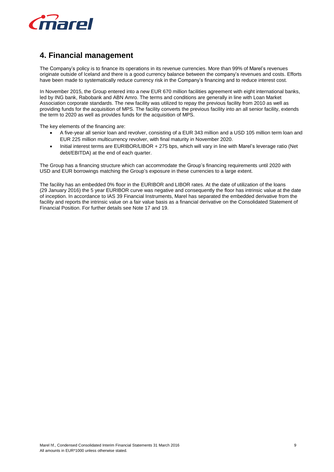

### **4. Financial management**

The Company's policy is to finance its operations in its revenue currencies. More than 99% of Marel's revenues originate outside of Iceland and there is a good currency balance between the company's revenues and costs. Efforts have been made to systematically reduce currency risk in the Company's financing and to reduce interest cost.

In November 2015, the Group entered into a new EUR 670 million facilities agreement with eight international banks, led by ING bank, Rabobank and ABN Amro. The terms and conditions are generally in line with Loan Market Association corporate standards. The new facility was utilized to repay the previous facility from 2010 as well as providing funds for the acquisition of MPS. The facility converts the previous facility into an all senior facility, extends the term to 2020 as well as provides funds for the acquisition of MPS.

The key elements of the financing are:

- A five-year all senior loan and revolver, consisting of a EUR 343 million and a USD 105 million term loan and EUR 225 million multicurrency revolver, with final maturity in November 2020.
- Initial interest terms are EURIBOR/LIBOR + 275 bps, which will vary in line with Marel's leverage ratio (Net debt/EBITDA) at the end of each quarter.

The Group has a financing structure which can accommodate the Group's financing requirements until 2020 with USD and EUR borrowings matching the Group's exposure in these currencies to a large extent.

The facility has an embedded 0% floor in the EURIBOR and LIBOR rates. At the date of utilization of the loans (29 January 2016) the 5 year EURIBOR curve was negative and consequently the floor has intrinsic value at the date of inception. In accordance to IAS 39 Financial Instruments, Marel has separated the embedded derivative from the facility and reports the intrinsic value on a fair value basis as a financial derivative on the Consolidated Statement of Financial Position. For further details see Note 17 and 19.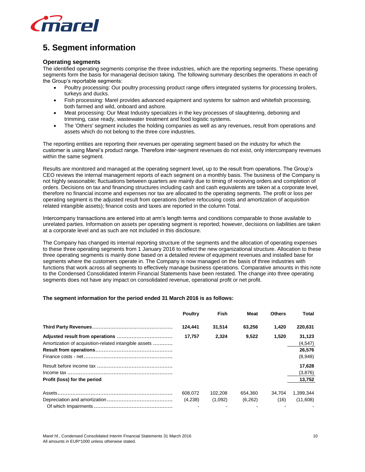

## **5. Segment information**

### **Operating segments**

The identified operating segments comprise the three industries, which are the reporting segments. These operating segments form the basis for managerial decision taking. The following summary describes the operations in each of the Group's reportable segments:

- Poultry processing: Our poultry processing product range offers integrated systems for processing broilers, turkeys and ducks.
- Fish processing: Marel provides advanced equipment and systems for salmon and whitefish processing, both farmed and wild, onboard and ashore.
- Meat processing: Our Meat Industry specializes in the key processes of slaughtering, deboning and trimming, case ready, wastewater treatment and food logistic systems.
- The 'Others' segment includes the holding companies as well as any revenues, result from operations and assets which do not belong to the three core industries.

The reporting entities are reporting their revenues per operating segment based on the industry for which the customer is using Marel's product range. Therefore inter-segment revenues do not exist, only intercompany revenues within the same segment.

Results are monitored and managed at the operating segment level, up to the result from operations. The Group's CEO reviews the internal management reports of each segment on a monthly basis. The business of the Company is not highly seasonable; fluctuations between quarters are mainly due to timing of receiving orders and completion of orders. Decisions on tax and financing structures including cash and cash equivalents are taken at a corporate level, therefore no financial income and expenses nor tax are allocated to the operating segments. The profit or loss per operating segment is the adjusted result from operations (before refocusing costs and amortization of acquisition related intangible assets); finance costs and taxes are reported in the column Total.

Intercompany transactions are entered into at arm's length terms and conditions comparable to those available to unrelated parties. Information on assets per operating segment is reported; however, decisions on liabilities are taken at a corporate level and as such are not included in this disclosure.

The Company has changed its internal reporting structure of the segments and the allocation of operating expenses to these three operating segments from 1 January 2016 to reflect the new organizational structure. Allocation to these three operating segments is mainly done based on a detailed review of equipment revenues and installed base for segments where the customers operate in. The Company is now managed on the basis of three industries with functions that work across all segments to effectively manage business operations. Comparative amounts in this note to the Condensed Consolidated Interim Financial Statements have been restated. The change into three operating segments does not have any impact on consolidated revenue, operational profit or net profit.

### **The segment information for the period ended 31 March 2016 is as follows:**

|                                                       | <b>Poultry</b> | Fish    | Meat    | <b>Others</b> | Total     |
|-------------------------------------------------------|----------------|---------|---------|---------------|-----------|
|                                                       | 124,441        | 31,514  | 63,256  | 1,420         | 220,631   |
|                                                       | 17,757         | 2,324   | 9,522   | 1,520         | 31,123    |
| Amortization of acquisition-related intangible assets |                |         |         |               | (4, 547)  |
|                                                       |                |         |         |               | 26.576    |
|                                                       |                |         |         |               | (8,948)   |
|                                                       |                |         |         |               | 17,628    |
|                                                       |                |         |         |               | (3,876)   |
| Profit (loss) for the period                          |                |         |         |               | 13,752    |
|                                                       | 608,072        | 102,208 | 654,360 | 34,704        | 1,399,344 |
|                                                       | (4,238)        | (1,092) | (6,262) | (16)          | (11,608)  |
|                                                       |                |         |         |               |           |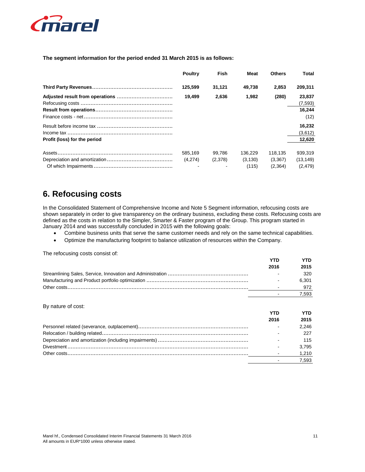

The segment information for the period ended 31 March 2015 is as follows:

|                              | <b>Poultry</b>     | Fish              | Meat                         | <b>Others</b>                 | Total                            |
|------------------------------|--------------------|-------------------|------------------------------|-------------------------------|----------------------------------|
|                              | 125.599            | 31.121            | 49.738                       | 2,853                         | 209,311                          |
|                              | 19.499             | 2,636             | 1.982                        | (280)                         | 23.837<br>(7, 593)               |
|                              |                    |                   |                              |                               | 16.244<br>(12)                   |
|                              |                    |                   |                              |                               | 16.232<br>(3,612)                |
| Profit (loss) for the period |                    |                   |                              |                               | 12,620                           |
|                              | 585.169<br>(4.274) | 99.786<br>(2,378) | 136.229<br>(3, 130)<br>(115) | 118.135<br>(3,367)<br>(2,364) | 939.319<br>(13, 149)<br>(2, 479) |

## **6. Refocusing costs**

In the Consolidated Statement of Comprehensive Income and Note 5 Segment information, refocusing costs are shown separately in order to give transparency on the ordinary business, excluding these costs. Refocusing costs are defined as the costs in relation to the Simpler, Smarter & Faster program of the Group. This program started in January 2014 and was successfully concluded in 2015 with the following goals:

- Combine business units that serve the same customer needs and rely on the same technical capabilities.  $\bullet$
- Optimize the manufacturing footprint to balance utilization of resources within the Company.  $\bullet$

The refocusing costs consist of:

| YTD  | YTD   |
|------|-------|
| 2016 | 2015  |
|      | 320   |
|      | 6.301 |
|      | 972   |
|      | 7.593 |

By nature of cost:

| vтn  | YTD   |
|------|-------|
| 2016 | 2015  |
|      | 2.246 |
|      | 227   |
|      | 115   |
|      | 3.795 |
|      | 1,210 |
|      | 7.593 |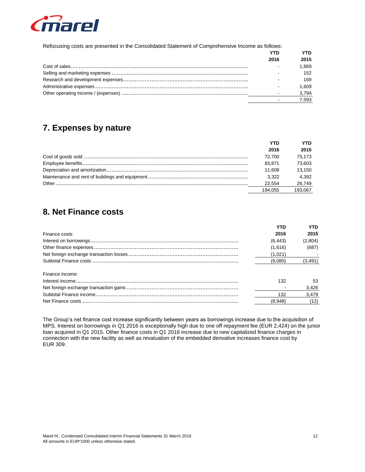

Refocusing costs are presented in the Consolidated Statement of Comprehensive Income as follows:

| 2016 | 2015  |
|------|-------|
|      | 1.869 |
|      | 152   |
|      | 169   |
|      | 1.609 |
|      | 3,794 |
|      | 7.593 |

## 7. Expenses by nature

| YTD     | YTD     |
|---------|---------|
| 2016    | 2015    |
| 72.700  | 75.173  |
| 83.871  | 73.603  |
| 11.608  | 13.150  |
| 3.322   | 4.392   |
| 22.554  | 26,749  |
| 194.055 | 193.067 |

## 8. Net Finance costs

|                 | YTD      | YTD      |
|-----------------|----------|----------|
| Finance costs:  | 2016     | 2015     |
|                 | (6, 443) | (2,804)  |
|                 | (1,616)  | (687)    |
|                 | (1,021)  |          |
|                 | (9,080)  | (3, 491) |
| Finance income: |          |          |
|                 | 132      | 53       |
|                 |          | 3,426    |
|                 | 132      | 3.479    |
|                 | (8.948)  | (12)     |

The Group's net finance cost increase significantly between years as borrowings increase due to the acquisition of MPS. Interest on borrowings in Q1 2016 is exceptionally high due to one off repayment fee (EUR 2,424) on the junior loan acquired in Q1 2015. Other finance costs in Q1 2016 increase due to new capitalized finance charges in connection with the new facility as well as revaluation of the embedded derivative increases finance cost by EUR 309.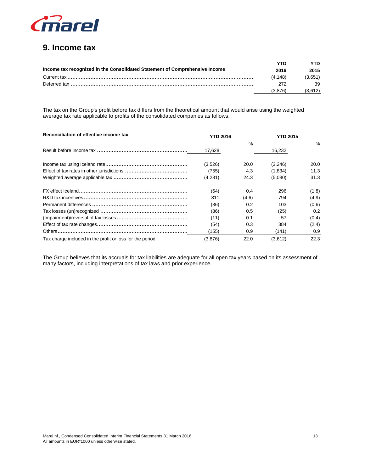

## 9. Income tax

|                                                                             | YTN     | νTΠ     |
|-----------------------------------------------------------------------------|---------|---------|
| Income tax recognized in the Consolidated Statement of Comprehensive Income | 2016    | 2015    |
|                                                                             | (4.148) | (3.651) |
|                                                                             | 272     | 39      |
|                                                                             | (3.876) |         |

The tax on the Group's profit before tax differs from the theoretical amount that would arise using the weighted average tax rate applicable to profits of the consolidated companies as follows:

| Reconciliation of effective income tax                   | <b>YTD 2016</b> |       | <b>YTD 2015</b> |               |
|----------------------------------------------------------|-----------------|-------|-----------------|---------------|
|                                                          |                 | $\%$  |                 | $\frac{0}{2}$ |
|                                                          | 17,628          |       | 16,232          |               |
|                                                          | (3,526)         | 20.0  | (3,246)         | 20.0          |
|                                                          | (755)           | 4.3   | (1,834)         | 11.3          |
|                                                          | (4,281)         | 24.3  | (5,080)         | 31.3          |
|                                                          | (64)            | 0.4   | 296             | (1.8)         |
|                                                          | 811             | (4.6) | 794             | (4.9)         |
|                                                          | (36)            | 0.2   | 103             | (0.6)         |
|                                                          | (86)            | 0.5   | (25)            | 0.2           |
|                                                          | (11)            | 0.1   | 57              | (0.4)         |
|                                                          | (54)            | 0.3   | 384             | (2.4)         |
|                                                          | (155)           | 0.9   | (141)           | 0.9           |
| Tax charge included in the profit or loss for the period | (3,876)         | 22.0  | (3,612)         | 22.3          |

The Group believes that its accruals for tax liabilities are adequate for all open tax years based on its assessment of many factors, including interpretations of tax laws and prior experience.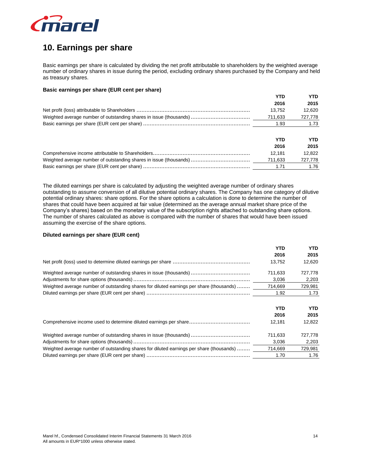

## **10. Earnings per share**

Basic earnings per share is calculated by dividing the net profit attributable to shareholders by the weighted average number of ordinary shares in issue during the period, excluding ordinary shares purchased by the Company and held as treasury shares.

#### **Basic earnings per share (EUR cent per share)**

| <b>YTD</b> | <b>YTD</b> |
|------------|------------|
| 2016       | 2015       |
| 13,752     | 12.620     |
| 711,633    | 727,778    |
| 1.93       | 1.73       |
| <b>YTD</b> | <b>YTD</b> |
| 2016       | 2015       |
| 12.181     | 12,822     |
| 711,633    | 727,778    |
| 1.71       | 1.76       |

The diluted earnings per share is calculated by adjusting the weighted average number of ordinary shares outstanding to assume conversion of all dilutive potential ordinary shares. The Company has one category of dilutive potential ordinary shares: share options. For the share options a calculation is done to determine the number of shares that could have been acquired at fair value (determined as the average annual market share price of the Company's shares) based on the monetary value of the subscription rights attached to outstanding share options. The number of shares calculated as above is compared with the number of shares that would have been issued assuming the exercise of the share options.

#### **Diluted earnings per share (EUR cent)**

|                                                                                          | YTD     | <b>YTD</b> |  |
|------------------------------------------------------------------------------------------|---------|------------|--|
|                                                                                          | 2016    | 2015       |  |
|                                                                                          | 13.752  | 12.620     |  |
|                                                                                          | 711.633 | 727.778    |  |
|                                                                                          | 3,036   | 2,203      |  |
| Weighted average number of outstanding shares for diluted earnings per share (thousands) | 714,669 | 729,981    |  |
|                                                                                          | 1.92    | 1.73       |  |
|                                                                                          |         |            |  |

|                                                                                          | YTD     | YTD     |  |
|------------------------------------------------------------------------------------------|---------|---------|--|
|                                                                                          | 2016    | 2015    |  |
| Comprehensive income used to determine diluted earnings per share                        | 12.181  | 12.822  |  |
| Weighted average number of outstanding shares in issue (thousands)                       | 711.633 | 727.778 |  |
|                                                                                          | 3.036   | 2,203   |  |
| Weighted average number of outstanding shares for diluted earnings per share (thousands) | 714,669 | 729,981 |  |
|                                                                                          | 1.70    | 1.76    |  |
|                                                                                          |         |         |  |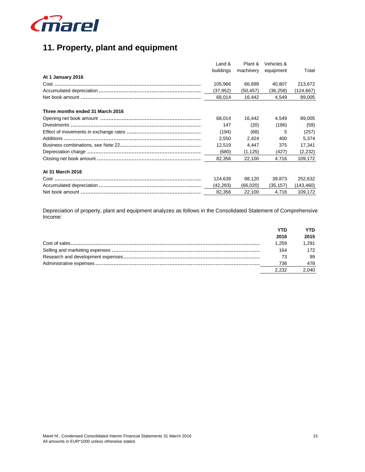

## 11. Property, plant and equipment

|                                  | Land $&$  | Plant &   | Vehicles & |            |
|----------------------------------|-----------|-----------|------------|------------|
|                                  | buildings | machinery | equipment  | Total      |
| At 1 January 2016                |           |           |            |            |
|                                  | 105.966   | 66.899    | 40.807     | 213,672    |
|                                  | (37, 952) | (50, 457) | (36, 258)  | (124, 667) |
|                                  | 68,014    | 16.442    | 4,549      | 89,005     |
|                                  |           |           |            |            |
| Three months ended 31 March 2016 |           |           |            |            |
|                                  | 68,014    | 16,442    | 4,549      | 89,005     |
|                                  | 147       | (20)      | (186)      | (59)       |
|                                  | (194)     | (68)      | 5          | (257)      |
|                                  | 2,550     | 2,424     | 400        | 5,374      |
|                                  | 12,519    | 4,447     | 375        | 17,341     |
|                                  | (680)     | (1, 125)  | (427)      | (2,232)    |
|                                  | 82,356    | 22,100    | 4,716      | 109,172    |
|                                  |           |           |            |            |
| At 31 March 2016                 |           |           |            |            |
|                                  | 124,639   | 88.120    | 39.873     | 252,632    |
|                                  | (42, 283) | (66, 020) | (35, 157)  | (143, 460) |
|                                  | 82,356    | 22,100    | 4,716      | 109,172    |
|                                  |           |           |            |            |

Depreciation of property, plant and equipment analyzes as follows in the Consolidated Statement of Comprehensive Income:

|       | YTD   |
|-------|-------|
| 2016  | 2015  |
| 1.259 | 1.291 |
| 164   | 172   |
| 73    | 99    |
| 736   | 478   |
| 2.232 | 2.040 |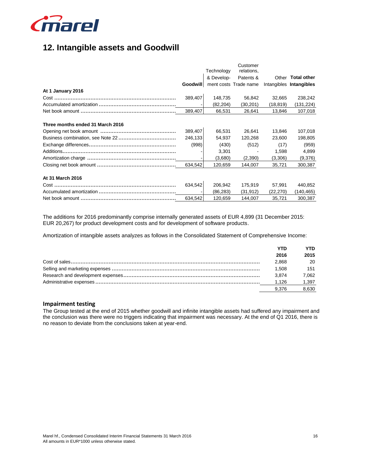

## **12. Intangible assets and Goodwill**

|                                  |                 | Technology | Customer<br>relations, |           |                         |
|----------------------------------|-----------------|------------|------------------------|-----------|-------------------------|
|                                  |                 | & Develop- | Patents &              |           | Other Total other       |
|                                  | <b>Goodwill</b> |            | ment costs Trade name  |           | Intangibles Intangibles |
| At 1 January 2016                |                 |            |                        |           |                         |
|                                  | 389,407         | 148,735    | 56,842                 | 32,665    | 238,242                 |
|                                  |                 | (82, 204)  | (30,201)               | (18,819)  | (131, 224)              |
|                                  | 389,407         | 66,531     | 26,641                 | 13,846    | 107,018                 |
|                                  |                 |            |                        |           |                         |
| Three months ended 31 March 2016 |                 |            |                        |           |                         |
|                                  | 389,407         | 66,531     | 26,641                 | 13,846    | 107,018                 |
|                                  | 246,133         | 54,937     | 120,268                | 23,600    | 198,805                 |
|                                  | (998)           | (430)      | (512)                  | (17)      | (959)                   |
|                                  |                 | 3,301      |                        | 1,598     | 4,899                   |
|                                  |                 | (3,680)    | (2,390)                | (3,306)   | (9,376)                 |
|                                  | 634,542         | 120,659    | 144,007                | 35,721    | 300,387                 |
|                                  |                 |            |                        |           |                         |
| At 31 March 2016                 |                 |            |                        |           |                         |
|                                  | 634,542         | 206,942    | 175,919                | 57,991    | 440,852                 |
|                                  |                 | (86, 283)  | (31, 912)              | (22, 270) | (140, 465)              |
|                                  | 634,542         | 120,659    | 144,007                | 35,721    | 300,387                 |

The additions for 2016 predominantly comprise internally generated assets of EUR 4,899 (31 December 2015: EUR 20,267) for product development costs and for development of software products.

Amortization of intangible assets analyzes as follows in the Consolidated Statement of Comprehensive Income:

| YTD   | YTD   |
|-------|-------|
| 2016  | 2015  |
| 2.868 | 20    |
| 1.508 | 151   |
| 3,874 | 7.062 |
| 1.126 | 1,397 |
| 9.376 | 8,630 |
|       |       |

### **Impairment testing**

The Group tested at the end of 2015 whether goodwill and infinite intangible assets had suffered any impairment and the conclusion was there were no triggers indicating that impairment was necessary. At the end of Q1 2016, there is no reason to deviate from the conclusions taken at year-end.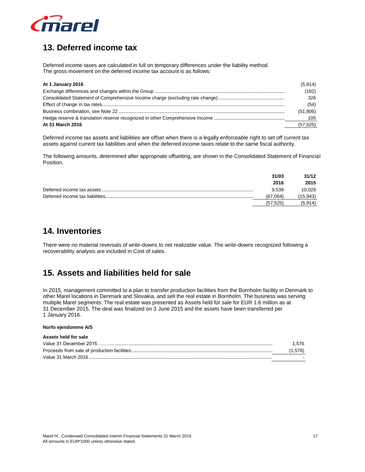

## **13. Deferred income tax**

Deferred income taxes are calculated in full on temporary differences under the liability method. The gross movement on the deferred income tax account is as follows:

| At 1 January 2016 | (5,914)   |
|-------------------|-----------|
|                   | (182)     |
|                   | 326       |
|                   | (54)      |
|                   | (51,806)  |
|                   |           |
| At 31 March 2016  | (57, 525) |

Deferred income tax assets and liabilities are offset when there is a legally enforceable right to set off current tax assets against current tax liabilities and when the deferred income taxes relate to the same fiscal authority.

The following amounts, determined after appropriate offsetting, are shown in the Consolidated Statement of Financial Position.

| 31/03     | 31/12     |
|-----------|-----------|
| 2016      | 2015      |
| 9,539     | 10,029    |
| (67,064)  | (15, 943) |
| (57, 525) | (5.914)   |

### **14. Inventories**

There were no material reversals of write-downs to net realizable value. The write-downs recognized following a recoverability analysis are included in Cost of sales.

## **15. Assets and liabilities held for sale**

In 2015, management committed to a plan to transfer production facilities from the Bornholm facility in Denmark to other Marel locations in Denmark and Slovakia, and sell the real estate in Bornholm. The business was serving multiple Marel segments. The real estate was presented as Assets held for sale for EUR 1.6 million as at 31 December 2015. The deal was finalized on 3 June 2015 and the assets have been transferred per 1 January 2016.

#### **Norfo ejendomme A/S**

#### **Assets held for sale**

| Value 3  | 576 |  |
|----------|-----|--|
|          |     |  |
| Value 31 |     |  |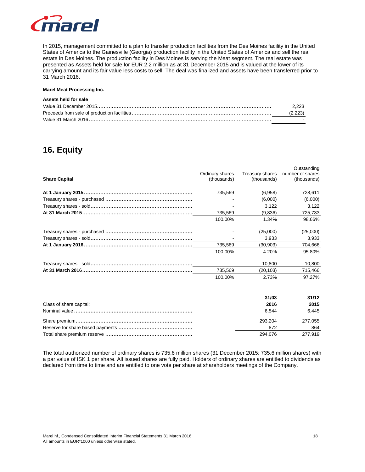

In 2015, management committed to a plan to transfer production facilities from the Des Moines facility in the United States of America to the Gainesville (Georgia) production facility in the United States of America and sell the real estate in Des Moines. The production facility in Des Moines is serving the Meat segment. The real estate was presented as Assets held for sale for EUR 2.2 million as at 31 December 2015 and is valued at the lower of its carrying amount and its fair value less costs to sell. The deal was finalized and assets have been transferred prior to 31 March 2016.

#### **Marel Meat Processing Inc.**

### **Assets held for sale**

| Value 31 December 2015                      |  |
|---------------------------------------------|--|
| Proceeds from sale of production facilities |  |
| Value 31 March 2016                         |  |

### **16. Equity**

| <b>Share Capital</b>    | Ordinary shares<br>(thousands) | Treasury shares<br>(thousands) | Outstanding<br>number of shares<br>(thousands) |  |
|-------------------------|--------------------------------|--------------------------------|------------------------------------------------|--|
|                         | 735,569                        | (6,958)                        | 728,611                                        |  |
|                         |                                | (6,000)                        | (6,000)                                        |  |
|                         |                                | 3,122                          | 3,122                                          |  |
|                         | 735,569                        | (9,836)                        | 725,733                                        |  |
|                         | 100.00%                        | 1.34%                          | 98.66%                                         |  |
|                         |                                | (25,000)                       | (25,000)                                       |  |
|                         |                                | 3,933                          | 3,933                                          |  |
|                         | 735,569                        | (30, 903)                      | 704,666                                        |  |
|                         | 100.00%                        | 4.20%                          | 95.80%                                         |  |
|                         |                                | 10,800                         | 10,800                                         |  |
|                         | 735,569                        | (20, 103)                      | 715,466                                        |  |
|                         | 100.00%                        | 2.73%                          | 97.27%                                         |  |
|                         |                                |                                |                                                |  |
|                         |                                | 31/03                          | 31/12                                          |  |
| Class of share capital: |                                | 2016                           | 2015                                           |  |
|                         |                                | 6,544                          | 6,445                                          |  |
|                         |                                |                                |                                                |  |

The total authorized number of ordinary shares is 735.6 million shares (31 December 2015: 735.6 million shares) with a par value of ISK 1 per share. All issued shares are fully paid. Holders of ordinary shares are entitled to dividends as declared from time to time and are entitled to one vote per share at shareholders meetings of the Company.

Share premium................................................................................................................................ 293,204 ................................ 277,055 .....................................

Total share premium reserve ................................................................................................294................................ ,076 277,919 ...................................................

Reserve for share based payments ................................................................................................ 872................................ 864 ...........................................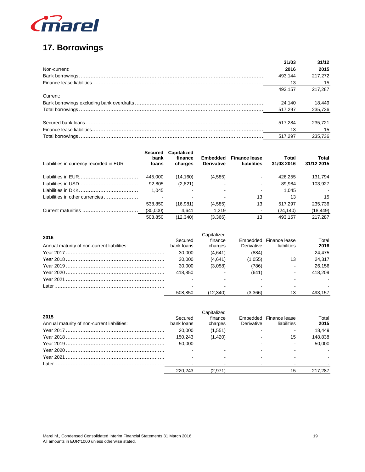

## 17. Borrowings

|              | 31/03   | 31/12   |
|--------------|---------|---------|
| Non-current: | 2016    | 2015    |
|              | 493.144 | 217.272 |
|              | 13      | - 15    |
|              | 493.157 | 217.287 |
| Current:     |         |         |
|              | 24.140  | 18,449  |
|              | 517.297 | 235,736 |
|              |         |         |
|              | 517.284 | 235.721 |
|              | 13      | 15      |
|              | 517.297 | 235.736 |

| Liabilities in currency recorded in EUR | <b>Secured</b><br>bank<br>loans | <b>Capitalized</b><br>finance<br>charges | <b>Embedded</b><br><b>Derivative</b> | <b>Finance lease</b><br>liabilities | Total<br>31/03 2016 | Total<br>31/12 2015 |
|-----------------------------------------|---------------------------------|------------------------------------------|--------------------------------------|-------------------------------------|---------------------|---------------------|
|                                         | 445,000                         | (14, 160)                                | (4,585)                              |                                     | 426.255             | 131,794             |
|                                         | 92,805                          | (2,821)                                  |                                      |                                     | 89.984              | 103.927             |
|                                         | 1,045                           |                                          |                                      |                                     | 1.045               |                     |
| Liabilities in other currencies         |                                 |                                          |                                      | 13                                  | 13                  | 15                  |
|                                         | 538,850                         | (16,981)                                 | (4,585)                              | 13                                  | 517,297             | 235,736             |
|                                         | (30,000)                        | 4.641                                    | 1.219                                |                                     | (24, 140)           | (18,449)            |
|                                         | 508.850                         | (12.340)                                 | (3,366)                              | 13                                  | 493.157             | 217.287             |

| 2016                                        | Secured    | Capitalized<br>finance |            | Embedded Finance lease | Total   |
|---------------------------------------------|------------|------------------------|------------|------------------------|---------|
| Annual maturity of non-current liabilities: | bank loans | charges                | Derivative | liabilities            | 2016    |
|                                             | 30.000     | (4,641)                | (884)      |                        | 24.475  |
|                                             | 30.000     | (4,641)                | (1,055)    | 13                     | 24.317  |
|                                             | 30.000     | (3,058)                | (786)      |                        | 26.156  |
|                                             | 418.850    |                        | (641)      |                        | 418.209 |
|                                             |            |                        |            |                        |         |
|                                             |            |                        |            |                        |         |
|                                             | 508.850    | (12.340)               | (3.366)    |                        | 493.157 |

| 2015<br>Annual maturity of non-current liabilities: | Secured<br>bank loans | apitalized:<br>finance<br>charges | Derivative | Embedded Finance lease<br>liabilities | Total<br>2015 |
|-----------------------------------------------------|-----------------------|-----------------------------------|------------|---------------------------------------|---------------|
|                                                     | 20,000                | (1,551)                           |            |                                       | 18.449        |
|                                                     | 150.243               | (1.420)                           |            | 15                                    | 148.838       |
|                                                     | 50,000                |                                   |            |                                       | 50.000        |
|                                                     |                       |                                   |            |                                       |               |
|                                                     |                       |                                   |            |                                       |               |
|                                                     |                       |                                   |            |                                       |               |
|                                                     | 220.243               | (2.971)                           |            | 15                                    | 217.287       |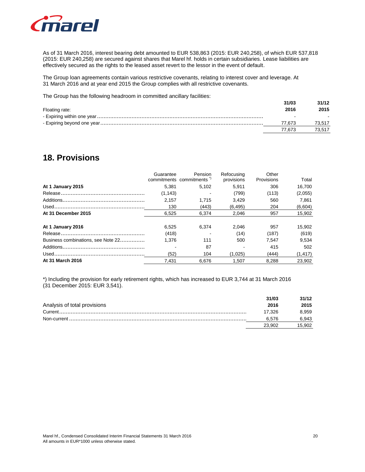

As of 31 March 2016, interest bearing debt amounted to EUR 538,863 (2015: EUR 240,258), of which EUR 537,818 (2015: EUR 240,258) are secured against shares that Marel hf. holds in certain subsidiaries. Lease liabilities are effectively secured as the rights to the leased asset revert to the lessor in the event of default.

The Group loan agreements contain various restrictive covenants, relating to interest cover and leverage. At 31 March 2016 and at year end 2015 the Group complies with all restrictive covenants.

The Group has the following headroom in committed ancillary facilities:

|                | 31/03  | 31/12  |  |
|----------------|--------|--------|--|
| Floating rate: | 2016   | 2015   |  |
|                |        |        |  |
|                | 77.673 | 73.517 |  |
|                | 77.673 | 73.517 |  |

### **18. Provisions**

|                                    | Guarantee | Pension<br>commitments commitments | Refocusing<br>provisions | Other<br>Provisions | Total    |
|------------------------------------|-----------|------------------------------------|--------------------------|---------------------|----------|
| At 1 January 2015                  | 5.381     | 5,102                              | 5.911                    | 306                 | 16.700   |
|                                    | (1, 143)  |                                    | (799)                    | (113)               | (2,055)  |
|                                    | 2,157     | 1,715                              | 3,429                    | 560                 | 7,861    |
|                                    | 130       | (443)                              | (6, 495)                 | 204                 | (6,604)  |
| At 31 December 2015                | 6,525     | 6,374                              | 2,046                    | 957                 | 15,902   |
| At 1 January 2016                  | 6.525     | 6.374                              | 2.046                    | 957                 | 15,902   |
|                                    | (418)     |                                    | (14)                     | (187)               | (619)    |
| Business combinations, see Note 22 | 1.376     | 111                                | 500                      | 7.547               | 9,534    |
|                                    |           | 87                                 |                          | 415                 | 502      |
|                                    | (52)      | 104                                | (1,025)                  | (444)               | (1, 417) |
| At 31 March 2016                   | 7.431     | 6.676                              | 1.507                    | 8.288               | 23,902   |

\*) Including the provision for early retirement rights, which has increased to EUR 3,744 at 31 March 2016 (31 December 2015: EUR 3,541).

|                              | 31/03  | 31/12  |
|------------------------------|--------|--------|
| Analysis of total provisions | 2016   | 2015   |
|                              | 17.326 | 8.959  |
|                              | 6.576  | 6,943  |
|                              | 23.902 | 15.902 |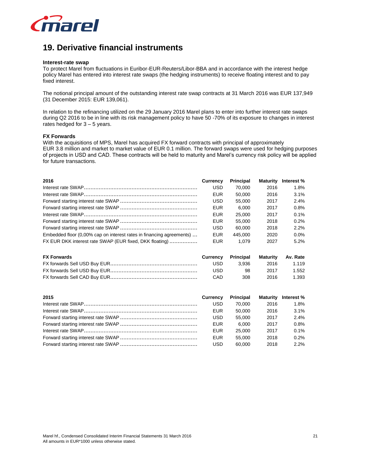

## **19. Derivative financial instruments**

#### **Interest-rate swap**

To protect Marel from fluctuations in Euribor-EUR-Reuters/Libor-BBA and in accordance with the interest hedge policy Marel has entered into interest rate swaps (the hedging instruments) to receive floating interest and to pay fixed interest.

The notional principal amount of the outstanding interest rate swap contracts at 31 March 2016 was EUR 137,949 (31 December 2015: EUR 139,061).

In relation to the refinancing utilized on the 29 January 2016 Marel plans to enter into further interest rate swaps during Q2 2016 to be in line with its risk management policy to have 50 -70% of its exposure to changes in interest rates hedged for 3 – 5 years.

### **FX Forwards**

With the acquisitions of MPS, Marel has acquired FX forward contracts with principal of approximately EUR 3.8 million and market to market value of EUR 0.1 million. The forward swaps were used for hedging purposes of projects in USD and CAD. These contracts will be held to maturity and Marel's currency risk policy will be applied for future transactions.

| 2016                                                                 | Currency   | <b>Principal</b> | Maturity        | Interest % |
|----------------------------------------------------------------------|------------|------------------|-----------------|------------|
|                                                                      | USD        | 70,000           | 2016            | 1.8%       |
|                                                                      | <b>EUR</b> | 50,000           | 2016            | $3.1\%$    |
|                                                                      | USD        | 55,000           | 2017            | 2.4%       |
|                                                                      | <b>EUR</b> | 6,000            | 2017            | 0.8%       |
|                                                                      | <b>EUR</b> | 25,000           | 2017            | 0.1%       |
|                                                                      | <b>EUR</b> | 55,000           | 2018            | 0.2%       |
|                                                                      | USD        | 60,000           | 2018            | 2.2%       |
| Embedded floor (0,00% cap on interest rates in financing agreements) | <b>EUR</b> | 445,000          | 2020            | $0.0\%$    |
| FX EUR DKK interest rate SWAP (EUR fixed, DKK floating)              | <b>EUR</b> | 1.079            | 2027            | 5.2%       |
| <b>FX Forwards</b>                                                   | Currency   | Principal        | <b>Maturity</b> | Av. Rate   |
|                                                                      | USD        | 3,936            | 2016            | 1.119      |
|                                                                      | <b>USD</b> | 98               | 2017            | 1.552      |
|                                                                      | CAD        | 308              | 2016            | 1.393      |
| 2015                                                                 | Currency   | <b>Principal</b> | Maturity        | Interest % |
|                                                                      | USD        | 70.000           | 2016            | 1.8%       |

| <b>2019</b> | <b>VULLEILV</b> | <b>THILLIPAL</b> |      | $m$ aturity interest /0 |
|-------------|-----------------|------------------|------|-------------------------|
|             | USD             | 70.000           | 2016 | 1.8%                    |
|             | <b>EUR</b>      | 50.000           | 2016 | 3.1%                    |
|             | USD             | 55.000           | 2017 | 2.4%                    |
|             | <b>EUR</b>      | 6.000            | 2017 | 0.8%                    |
|             | <b>EUR</b>      | 25.000           | 2017 | 0.1%                    |
|             | <b>EUR</b>      | 55.000           | 2018 | 0.2%                    |
|             | <b>USD</b>      | 60.000           | 2018 | 2.2%                    |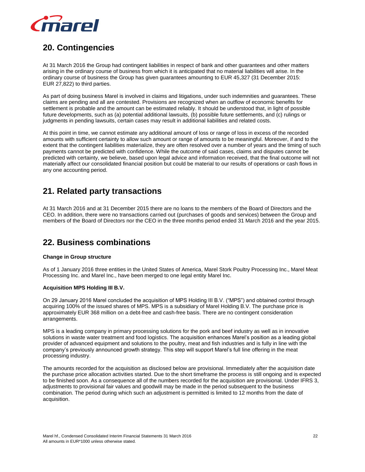

## **20. Contingencies**

At 31 March 2016 the Group had contingent liabilities in respect of bank and other guarantees and other matters arising in the ordinary course of business from which it is anticipated that no material liabilities will arise. In the ordinary course of business the Group has given guarantees amounting to EUR 45,327 (31 December 2015: EUR 27,822) to third parties.

As part of doing business Marel is involved in claims and litigations, under such indemnities and guarantees. These claims are pending and all are contested. Provisions are recognized when an outflow of economic benefits for settlement is probable and the amount can be estimated reliably. It should be understood that, in light of possible future developments, such as (a) potential additional lawsuits, (b) possible future settlements, and (c) rulings or judgments in pending lawsuits, certain cases may result in additional liabilities and related costs.

At this point in time, we cannot estimate any additional amount of loss or range of loss in excess of the recorded amounts with sufficient certainty to allow such amount or range of amounts to be meaningful. Moreover, if and to the extent that the contingent liabilities materialize, they are often resolved over a number of years and the timing of such payments cannot be predicted with confidence. While the outcome of said cases, claims and disputes cannot be predicted with certainty, we believe, based upon legal advice and information received, that the final outcome will not materially affect our consolidated financial position but could be material to our results of operations or cash flows in any one accounting period.

## **21. Related party transactions**

At 31 March 2016 and at 31 December 2015 there are no loans to the members of the Board of Directors and the CEO. In addition, there were no transactions carried out (purchases of goods and services) between the Group and members of the Board of Directors nor the CEO in the three months period ended 31 March 2016 and the year 2015.

### **22. Business combinations**

### **Change in Group structure**

As of 1 January 2016 three entities in the United States of America, Marel Stork Poultry Processing Inc., Marel Meat Processing Inc. and Marel Inc., have been merged to one legal entity Marel Inc.

### **Acquisition MPS Holding III B.V.**

On 29 January 2016 Marel concluded the acquisition of MPS Holding III B.V. ("MPS") and obtained control through acquiring 100% of the issued shares of MPS. MPS is a subsidiary of Marel Holding B.V. The purchase price is approximately EUR 368 million on a debt-free and cash-free basis. There are no contingent consideration arrangements.

MPS is a leading company in primary processing solutions for the pork and beef industry as well as in innovative solutions in waste water treatment and food logistics. The acquisition enhances Marel's position as a leading global provider of advanced equipment and solutions to the poultry, meat and fish industries and is fully in line with the company's previously announced growth strategy. This step will support Marel's full line offering in the meat processing industry.

The amounts recorded for the acquisition as disclosed below are provisional. Immediately after the acquisition date the purchase price allocation activities started. Due to the short timeframe the process is still ongoing and is expected to be finished soon. As a consequence all of the numbers recorded for the acquisition are provisional. Under IFRS 3, adjustments to provisional fair values and goodwill may be made in the period subsequent to the business combination. The period during which such an adjustment is permitted is limited to 12 months from the date of acquisition.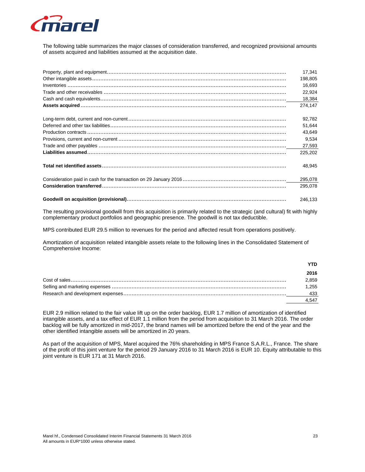

The following table summarizes the major classes of consideration transferred, and recognized provisional amounts of assets acquired and liabilities assumed at the acquisition date.

| 17.341  |  |
|---------|--|
| 198.805 |  |
| 16.693  |  |
| 22,924  |  |
| 18,384  |  |
| 274.147 |  |
| 92,782  |  |
| 51.644  |  |
| 43.649  |  |
| 9,534   |  |
| 27,593  |  |
| 225.202 |  |
| 48.945  |  |
|         |  |
| 295,078 |  |
| 246.133 |  |

The resulting provisional goodwill from this acquisition is primarily related to the strategic (and cultural) fit with highly complementary product portfolios and geographic presence. The goodwill is not tax deductible.

MPS contributed EUR 29.5 million to revenues for the period and affected result from operations positively.

Amortization of acquisition related intangible assets relate to the following lines in the Consolidated Statement of Comprehensive Income:

| <b>YTD</b> |  |
|------------|--|
| 2016       |  |
| 2,859      |  |
| 1.255      |  |
| 433        |  |
| 4,547      |  |

EUR 2.9 million related to the fair value lift up on the order backlog, EUR 1.7 million of amortization of identified intangible assets, and a tax effect of EUR 1.1 million from the period from acquisition to 31 March 2016. The order backlog will be fully amortized in mid-2017, the brand names will be amortized before the end of the year and the other identified intangible assets will be amortized in 20 years.

As part of the acquisition of MPS, Marel acquired the 76% shareholding in MPS France S.A.R.L., France. The share of the profit of this joint venture for the period 29 January 2016 to 31 March 2016 is EUR 10. Equity attributable to this joint venture is EUR 171 at 31 March 2016.